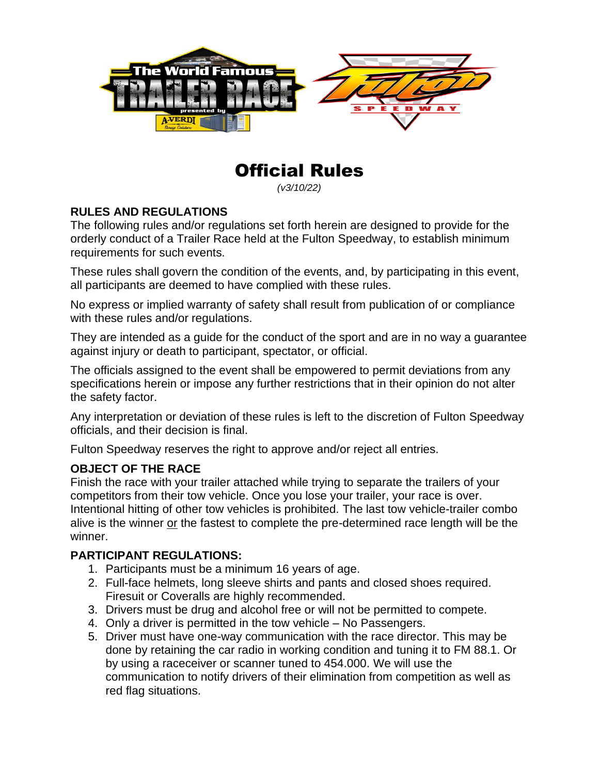

# Official Rules

*(v3/10/22)*

#### **RULES AND REGULATIONS**

The following rules and/or regulations set forth herein are designed to provide for the orderly conduct of a Trailer Race held at the Fulton Speedway, to establish minimum requirements for such events.

These rules shall govern the condition of the events, and, by participating in this event, all participants are deemed to have complied with these rules.

No express or implied warranty of safety shall result from publication of or compliance with these rules and/or regulations.

They are intended as a guide for the conduct of the sport and are in no way a guarantee against injury or death to participant, spectator, or official.

The officials assigned to the event shall be empowered to permit deviations from any specifications herein or impose any further restrictions that in their opinion do not alter the safety factor.

Any interpretation or deviation of these rules is left to the discretion of Fulton Speedway officials, and their decision is final.

Fulton Speedway reserves the right to approve and/or reject all entries.

#### **OBJECT OF THE RACE**

Finish the race with your trailer attached while trying to separate the trailers of your competitors from their tow vehicle. Once you lose your trailer, your race is over. Intentional hitting of other tow vehicles is prohibited. The last tow vehicle-trailer combo alive is the winner or the fastest to complete the pre-determined race length will be the winner.

#### **PARTICIPANT REGULATIONS:**

- 1. Participants must be a minimum 16 years of age.
- 2. Full-face helmets, long sleeve shirts and pants and closed shoes required. Firesuit or Coveralls are highly recommended.
- 3. Drivers must be drug and alcohol free or will not be permitted to compete.
- 4. Only a driver is permitted in the tow vehicle No Passengers.
- 5. Driver must have one-way communication with the race director. This may be done by retaining the car radio in working condition and tuning it to FM 88.1. Or by using a raceceiver or scanner tuned to 454.000. We will use the communication to notify drivers of their elimination from competition as well as red flag situations.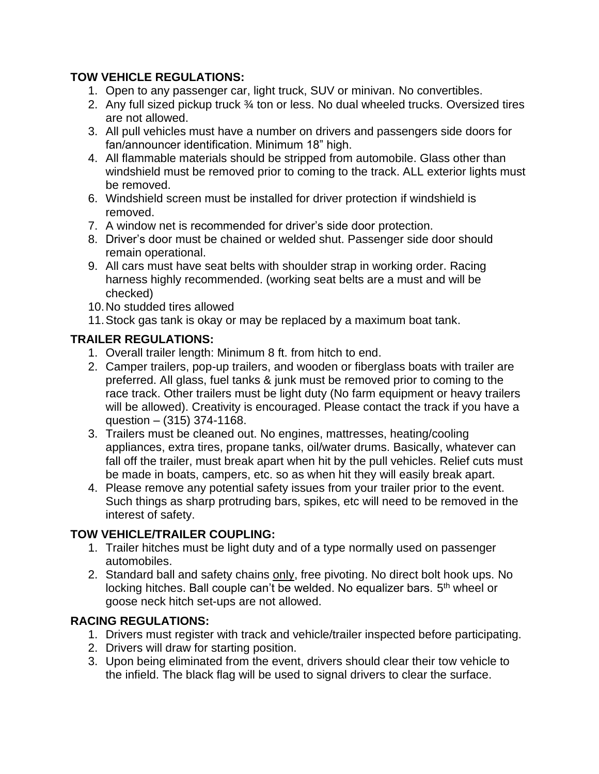### **TOW VEHICLE REGULATIONS:**

- 1. Open to any passenger car, light truck, SUV or minivan. No convertibles.
- 2. Any full sized pickup truck ¾ ton or less. No dual wheeled trucks. Oversized tires are not allowed.
- 3. All pull vehicles must have a number on drivers and passengers side doors for fan/announcer identification. Minimum 18" high.
- 4. All flammable materials should be stripped from automobile. Glass other than windshield must be removed prior to coming to the track. ALL exterior lights must be removed.
- 6. Windshield screen must be installed for driver protection if windshield is removed.
- 7. A window net is recommended for driver's side door protection.
- 8. Driver's door must be chained or welded shut. Passenger side door should remain operational.
- 9. All cars must have seat belts with shoulder strap in working order. Racing harness highly recommended. (working seat belts are a must and will be checked)
- 10.No studded tires allowed
- 11.Stock gas tank is okay or may be replaced by a maximum boat tank.

#### **TRAILER REGULATIONS:**

- 1. Overall trailer length: Minimum 8 ft. from hitch to end.
- 2. Camper trailers, pop-up trailers, and wooden or fiberglass boats with trailer are preferred. All glass, fuel tanks & junk must be removed prior to coming to the race track. Other trailers must be light duty (No farm equipment or heavy trailers will be allowed). Creativity is encouraged. Please contact the track if you have a question – (315) 374-1168.
- 3. Trailers must be cleaned out. No engines, mattresses, heating/cooling appliances, extra tires, propane tanks, oil/water drums. Basically, whatever can fall off the trailer, must break apart when hit by the pull vehicles. Relief cuts must be made in boats, campers, etc. so as when hit they will easily break apart.
- 4. Please remove any potential safety issues from your trailer prior to the event. Such things as sharp protruding bars, spikes, etc will need to be removed in the interest of safety.

#### **TOW VEHICLE/TRAILER COUPLING:**

- 1. Trailer hitches must be light duty and of a type normally used on passenger automobiles.
- 2. Standard ball and safety chains only, free pivoting. No direct bolt hook ups. No locking hitches. Ball couple can't be welded. No equalizer bars. 5<sup>th</sup> wheel or goose neck hitch set-ups are not allowed.

#### **RACING REGULATIONS:**

- 1. Drivers must register with track and vehicle/trailer inspected before participating.
- 2. Drivers will draw for starting position.
- 3. Upon being eliminated from the event, drivers should clear their tow vehicle to the infield. The black flag will be used to signal drivers to clear the surface.